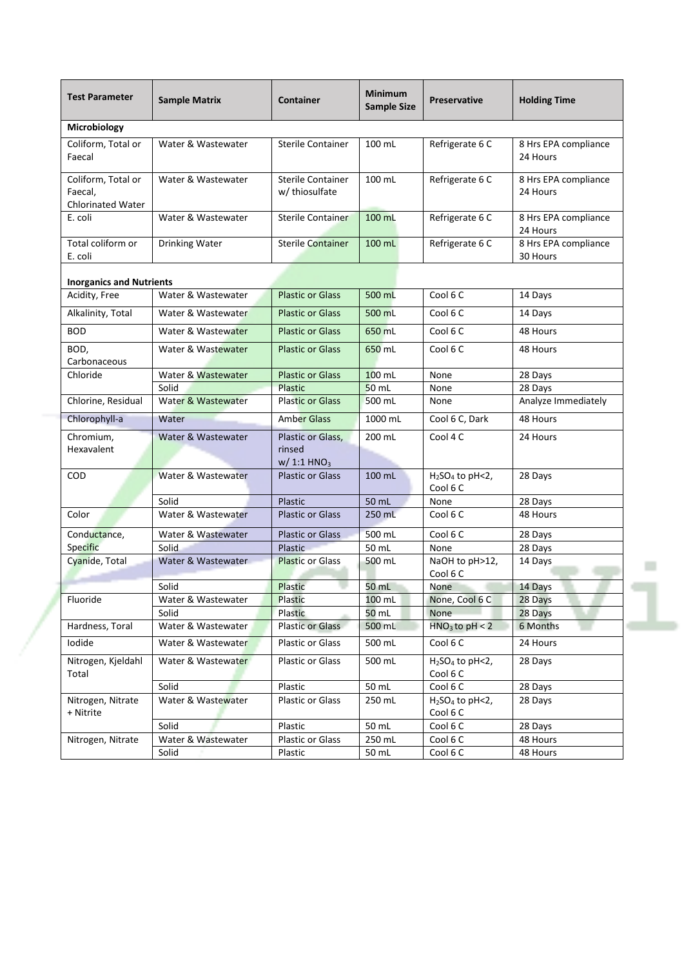| <b>Test Parameter</b>                                     | <b>Sample Matrix</b>        | <b>Container</b>                                        | <b>Minimum</b><br><b>Sample Size</b> | <b>Preservative</b>          | <b>Holding Time</b>              |
|-----------------------------------------------------------|-----------------------------|---------------------------------------------------------|--------------------------------------|------------------------------|----------------------------------|
| Microbiology                                              |                             |                                                         |                                      |                              |                                  |
| Coliform, Total or<br>Faecal                              | Water & Wastewater          | <b>Sterile Container</b>                                | 100 mL                               | Refrigerate 6 C              | 8 Hrs EPA compliance<br>24 Hours |
| Coliform, Total or<br>Faecal.<br><b>Chlorinated Water</b> | Water & Wastewater          | <b>Sterile Container</b><br>w/ thiosulfate              | 100 mL                               | Refrigerate 6 C              | 8 Hrs EPA compliance<br>24 Hours |
| E. coli                                                   | Water & Wastewater          | Sterile Container                                       | 100 mL                               | Refrigerate 6 C              | 8 Hrs EPA compliance<br>24 Hours |
| Total coliform or<br>E. coli                              | Drinking Water              | <b>Sterile Container</b>                                | 100 mL                               | Refrigerate 6 C              | 8 Hrs EPA compliance<br>30 Hours |
| <b>Inorganics and Nutrients</b>                           |                             |                                                         |                                      |                              |                                  |
| Acidity, Free                                             | Water & Wastewater          | <b>Plastic or Glass</b>                                 | 500 mL                               | Cool 6 C                     | 14 Days                          |
| Alkalinity, Total                                         | Water & Wastewater          | <b>Plastic or Glass</b>                                 | 500 mL                               | Cool 6 C                     | 14 Days                          |
| <b>BOD</b>                                                | Water & Wastewater          | <b>Plastic or Glass</b>                                 | 650 mL                               | Cool 6 C                     | 48 Hours                         |
| BOD,<br>Carbonaceous                                      | Water & Wastewater          | <b>Plastic or Glass</b>                                 | 650 mL                               | Cool 6 C                     | 48 Hours                         |
| Chloride                                                  | Water & Wastewater          | <b>Plastic or Glass</b>                                 | 100 mL                               | None                         | 28 Days                          |
|                                                           | Solid                       | <b>Plastic</b>                                          | $50$ mL                              | None                         | 28 Days                          |
| Chlorine, Residual                                        | Water & Wastewater          | <b>Plastic or Glass</b>                                 | 500 mL                               | None                         | Analyze Immediately              |
| Chlorophyll-a                                             | Water                       | <b>Amber Glass</b>                                      | 1000 mL                              | Cool 6 C, Dark               | 48 Hours                         |
| Chromium,<br>Hexavalent                                   | Water & Wastewater          | Plastic or Glass,<br>rinsed<br>$W/1:1$ HNO <sub>3</sub> | 200 mL                               | Cool 4 C                     | 24 Hours                         |
| COD                                                       | Water & Wastewater          | <b>Plastic or Glass</b>                                 | 100 mL                               | $H2SO4$ to pH<2,<br>Cool 6 C | 28 Days                          |
|                                                           | Solid                       | <b>Plastic</b>                                          | 50 mL                                | None                         | 28 Days                          |
| Color                                                     | Water & Wastewater          | <b>Plastic or Glass</b>                                 | 250 mL                               | Cool 6 C                     | 48 Hours                         |
| Conductance,                                              | Water & Wastewater          | <b>Plastic or Glass</b>                                 | 500 mL                               | Cool 6 C                     | 28 Days                          |
| Specific                                                  | Solid                       | Plastic                                                 | 50 mL                                | None                         | 28 Days                          |
| Cyanide, Total                                            | Water & Wastewater          | <b>Plastic or Glass</b>                                 | 500 mL                               | NaOH to pH>12,<br>Cool 6 C   | 14 Days                          |
|                                                           | Solid                       | Plastic                                                 | 50 mL                                | None                         | 14 Days                          |
| Fluoride                                                  | Water & Wastewater<br>Solid | <b>Plastic</b><br>Plastic                               | 100 mL<br>$50$ mL                    | None, Cool 6 C<br>None       | 28 Days<br>28 Days               |
| Hardness, Toral                                           | Water & Wastewater          | Plastic or Glass                                        | 500 mL                               | $HNO3$ to pH < 2             | 6 Months                         |
| Iodide                                                    | Water & Wastewater          | Plastic or Glass                                        | 500 mL                               | Cool 6 C                     | 24 Hours                         |
| Nitrogen, Kjeldahl<br>Total                               | Water & Wastewater          | Plastic or Glass                                        | 500 mL                               | $H2SO4$ to pH<2,<br>Cool 6 C | 28 Days                          |
|                                                           | Solid                       | Plastic                                                 | 50 mL                                | Cool 6 C                     | 28 Days                          |
| Nitrogen, Nitrate<br>+ Nitrite                            | Water & Wastewater          | Plastic or Glass                                        | 250 mL                               | $H2SO4$ to pH<2,<br>Cool 6 C | 28 Days                          |
|                                                           | Solid                       | Plastic                                                 | 50 mL                                | Cool 6 C                     | 28 Days                          |
| Nitrogen, Nitrate                                         | Water & Wastewater          | Plastic or Glass                                        | 250 mL                               | Cool 6 C                     | 48 Hours                         |
|                                                           | Solid                       | Plastic                                                 | 50 mL                                | Cool 6 C                     | 48 Hours                         |

0 **College**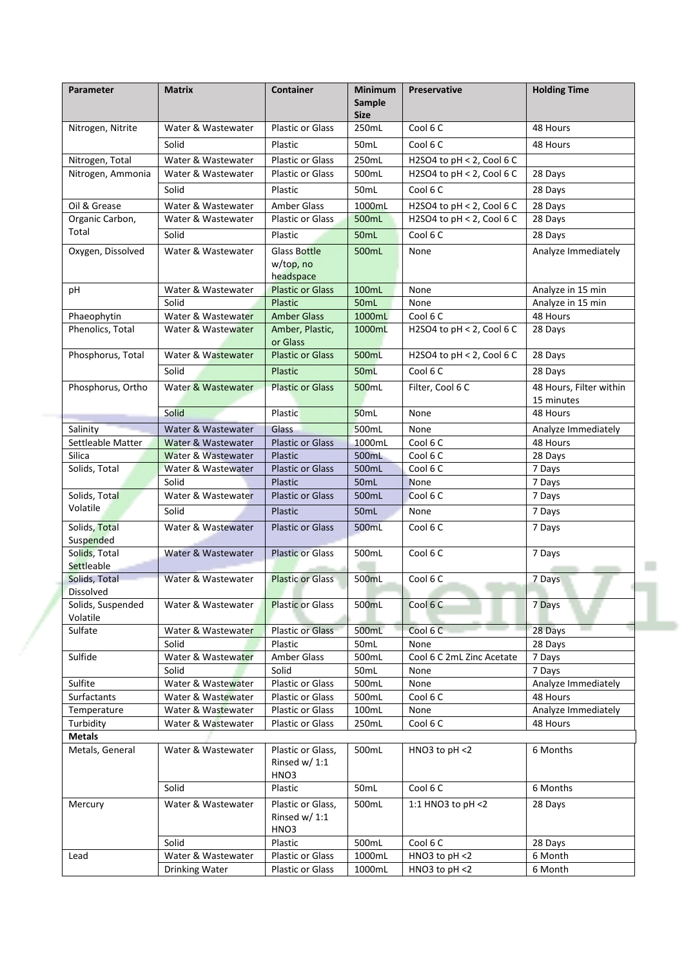| Parameter                         | <b>Matrix</b>                            | <b>Container</b>                              | <b>Minimum</b><br>Sample<br><b>Size</b> | <b>Preservative</b>          | <b>Holding Time</b>                   |
|-----------------------------------|------------------------------------------|-----------------------------------------------|-----------------------------------------|------------------------------|---------------------------------------|
| Nitrogen, Nitrite                 | Water & Wastewater                       | <b>Plastic or Glass</b>                       | 250mL                                   | Cool 6 C                     | 48 Hours                              |
|                                   | Solid                                    | Plastic                                       | 50mL                                    | Cool 6 C                     | 48 Hours                              |
| Nitrogen, Total                   | Water & Wastewater                       | <b>Plastic or Glass</b>                       | 250mL                                   | H2SO4 to $pH < 2$ , Cool 6 C |                                       |
| Nitrogen, Ammonia                 | Water & Wastewater                       | <b>Plastic or Glass</b>                       | 500mL                                   | H2SO4 to $pH < 2$ , Cool 6 C | 28 Days                               |
|                                   | Solid                                    | Plastic                                       | 50mL                                    | Cool 6 C                     | 28 Days                               |
| Oil & Grease                      | Water & Wastewater                       | Amber Glass                                   | 1000mL                                  | H2SO4 to pH < 2, Cool 6 C    | 28 Days                               |
| Organic Carbon,                   | Water & Wastewater                       | <b>Plastic or Glass</b>                       | 500mL                                   | H2SO4 to $pH < 2$ , Cool 6 C | 28 Days                               |
| Total                             | Solid                                    | Plastic                                       | 50mL                                    | Cool 6 C                     | 28 Days                               |
| Oxygen, Dissolved                 | Water & Wastewater                       | <b>Glass Bottle</b><br>w/top, no<br>headspace | 500mL                                   | None                         | Analyze Immediately                   |
| рH                                | Water & Wastewater                       | <b>Plastic or Glass</b>                       | 100mL                                   | None                         | Analyze in 15 min                     |
|                                   | Solid                                    | Plastic                                       | 50mL                                    | None                         | Analyze in 15 min                     |
| Phaeophytin                       | Water & Wastewater                       | <b>Amber Glass</b>                            | 1000mL                                  | Cool 6 C                     | 48 Hours                              |
| Phenolics, Total                  | Water & Wastewater                       | Amber, Plastic,<br>or Glass                   | 1000mL                                  | H2SO4 to $pH < 2$ , Cool 6 C | 28 Days                               |
| Phosphorus, Total                 | Water & Wastewater                       | <b>Plastic or Glass</b>                       | 500mL                                   | H2SO4 to $pH < 2$ , Cool 6 C | 28 Days                               |
|                                   | Solid                                    | Plastic                                       | <b>50mL</b>                             | Cool $6C$                    | 28 Days                               |
| Phosphorus, Ortho                 | Water & Wastewater                       | <b>Plastic or Glass</b>                       | 500mL                                   | Filter, Cool 6 C             | 48 Hours, Filter within<br>15 minutes |
|                                   | Solid                                    | Plastic                                       | <b>50mL</b>                             | None                         | 48 Hours                              |
| Salinity                          | Water & Wastewater                       | Glass                                         | 500mL                                   | None                         | Analyze Immediately                   |
| Settleable Matter                 | Water & Wastewater                       | <b>Plastic or Glass</b>                       | 1000mL                                  | Cool 6 C                     | 48 Hours                              |
| Silica                            | Water & Wastewater                       | Plastic                                       | 500mL                                   | Cool 6 C                     | 28 Days                               |
| Solids, Total                     | Water & Wastewater                       | <b>Plastic or Glass</b>                       | 500mL                                   | Cool 6 C                     | 7 Days                                |
|                                   | Solid                                    | Plastic                                       | 50mL                                    | <b>None</b>                  | 7 Days                                |
| Solids, Total<br>Volatile         | Water & Wastewater                       | <b>Plastic or Glass</b>                       | 500mL                                   | Cool 6 C                     | 7 Days                                |
|                                   | Solid                                    | Plastic                                       | 50mL                                    | None                         | 7 Days                                |
| Solids, Total<br>Suspended        | Water & Wastewater                       | <b>Plastic or Glass</b>                       | 500mL                                   | Cool 6 C                     | 7 Days                                |
| Solids, Total<br>Settleable       | Water & Wastewater                       | <b>Plastic or Glass</b>                       | 500mL                                   | Cool 6 C                     | 7 Days                                |
| Solids, Total<br><b>Dissolved</b> | Water & Wastewater                       | <b>Plastic or Glass</b>                       | 500mL                                   | Cool 6 C                     | 7 Days                                |
| Solids, Suspended<br>Volatile     | Water & Wastewater                       | <b>Plastic or Glass</b>                       | 500mL                                   | Cool 6 C                     | 7 Days                                |
| Sulfate                           | Water & Wastewater                       | <b>Plastic or Glass</b>                       | 500mL                                   | Cool 6 C                     | 28 Days                               |
|                                   | Solid                                    | Plastic                                       | 50mL                                    | None                         | 28 Days                               |
| Sulfide                           | Water & Wastewater                       | Amber Glass                                   | 500mL                                   | Cool 6 C 2mL Zinc Acetate    | 7 Days                                |
|                                   | Solid                                    | Solid                                         | 50mL                                    | None                         | 7 Days                                |
| Sulfite<br>Surfactants            | Water & Wastewater<br>Water & Wastewater | <b>Plastic or Glass</b><br>Plastic or Glass   | 500mL<br>500mL                          | None<br>Cool 6 C             | Analyze Immediately<br>48 Hours       |
| Temperature                       | Water & Wastewater                       | Plastic or Glass                              | 100mL                                   | None                         | Analyze Immediately                   |
| Turbidity                         | Water & Wastewater                       | Plastic or Glass                              | 250mL                                   | Cool 6 C                     | 48 Hours                              |
| <b>Metals</b>                     |                                          |                                               |                                         |                              |                                       |
| Metals, General                   | Water & Wastewater                       | Plastic or Glass,<br>Rinsed w/ $1:1$<br>HNO3  | 500mL                                   | HNO3 to $pH < 2$             | 6 Months                              |
|                                   | Solid                                    | Plastic                                       | 50mL                                    | Cool 6 C                     | 6 Months                              |
| Mercury                           | Water & Wastewater                       | Plastic or Glass,<br>Rinsed $w/1:1$<br>HNO3   | 500mL                                   | 1:1 HNO3 to pH <2            | 28 Days                               |
|                                   | Solid                                    | Plastic                                       | 500mL                                   | Cool 6 C                     | 28 Days                               |
| Lead                              | Water & Wastewater                       | Plastic or Glass                              | 1000mL                                  | HNO3 to pH <2                | 6 Month                               |
|                                   | Drinking Water                           | Plastic or Glass                              | 1000mL                                  | HNO3 to $pH < 2$             | 6 Month                               |